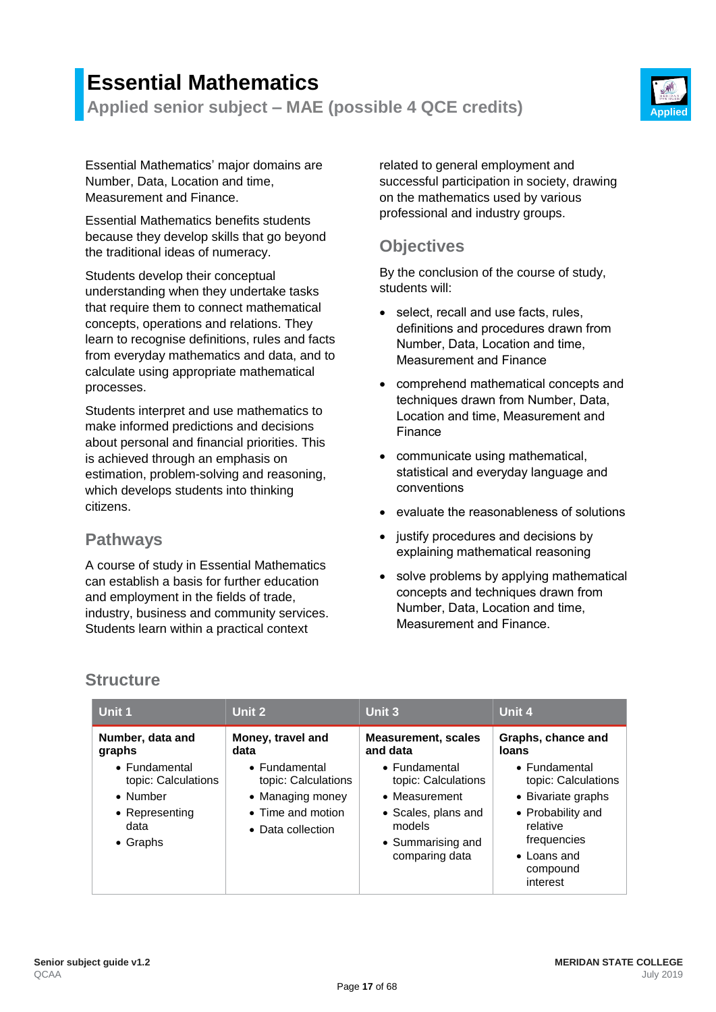# **Essential Mathematics**

**Applied senior subject – MAE (possible 4 QCE credits) Applied**



Essential Mathematics' major domains are Number, Data, Location and time, Measurement and Finance.

Essential Mathematics benefits students because they develop skills that go beyond the traditional ideas of numeracy.

Students develop their conceptual understanding when they undertake tasks that require them to connect mathematical concepts, operations and relations. They learn to recognise definitions, rules and facts from everyday mathematics and data, and to calculate using appropriate mathematical processes.

Students interpret and use mathematics to make informed predictions and decisions about personal and financial priorities. This is achieved through an emphasis on estimation, problem-solving and reasoning, which develops students into thinking citizens.

### **Pathways**

A course of study in Essential Mathematics can establish a basis for further education and employment in the fields of trade, industry, business and community services. Students learn within a practical context

related to general employment and successful participation in society, drawing on the mathematics used by various professional and industry groups.

### **Objectives**

By the conclusion of the course of study, students will:

- select, recall and use facts, rules, definitions and procedures drawn from Number, Data, Location and time, Measurement and Finance
- comprehend mathematical concepts and techniques drawn from Number, Data, Location and time, Measurement and Finance
- communicate using mathematical, statistical and everyday language and conventions
- evaluate the reasonableness of solutions
- justify procedures and decisions by explaining mathematical reasoning
- solve problems by applying mathematical concepts and techniques drawn from Number, Data, Location and time, Measurement and Finance.

# **Structure**

| Unit 1                                                                                         | Unit 2                                                                                                     | Unit 3                                                                                                                        | Unit 4                                                                                                                                                            |
|------------------------------------------------------------------------------------------------|------------------------------------------------------------------------------------------------------------|-------------------------------------------------------------------------------------------------------------------------------|-------------------------------------------------------------------------------------------------------------------------------------------------------------------|
| Number, data and<br>graphs                                                                     | Money, travel and<br>data                                                                                  | <b>Measurement, scales</b><br>and data                                                                                        | Graphs, chance and<br>loans                                                                                                                                       |
| • Fundamental<br>topic: Calculations<br>• Number<br>• Representing<br>data<br>$\bullet$ Graphs | $\bullet$ Fundamental<br>topic: Calculations<br>• Managing money<br>• Time and motion<br>• Data collection | • Fundamental<br>topic: Calculations<br>• Measurement<br>• Scales, plans and<br>models<br>• Summarising and<br>comparing data | $\bullet$ Fundamental<br>topic: Calculations<br>• Bivariate graphs<br>• Probability and<br>relative<br>frequencies<br>$\bullet$ Loans and<br>compound<br>interest |